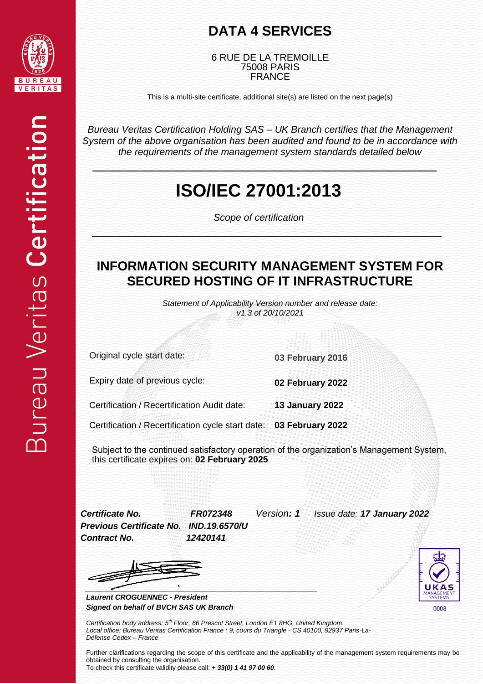

#### **DATA 4 SERVICES**

6 RUE DE LA TREMOILLE 75008 PARIS FRANCE

This is a multi-site certificate, additional site(s) are listed on the next page(s)

*Bureau Veritas Certification Holding SAS – UK Branch certifies that the Management System of the above organisation has been audited and found to be in accordance with the requirements of the management system standards detailed below*

## **ISO/IEC 27001:2013**

*Scope of certification*

#### **INFORMATION SECURITY MANAGEMENT SYSTEM FOR SECURED HOSTING OF IT INFRASTRUCTURE**

*Statement of Applicability Version number and release date: v1.3 of 20/10/2021*

Original cycle start date: **03 February 2016**

Expiry date of previous cycle: **02 February 2022**

Certification / Recertification Audit date: **13 January 2022**

Certification / Recertification cycle start date: **03 February 2022**

Subject to the continued satisfactory operation of the organization's Management System, this certificate expires on: **02 February 2025**

*Previous Certificate No. IND.19.6570/U Contract No. 12420141*

*Certificate No. FR072348 Version: 1 Issue date: 17 January 2022*

0008

*Laurent CROGUENNEC - President Signed on behalf of BVCH SAS UK Branch*

*Certification body address: 5 th Floor, 66 Prescot Street, London E1 8HG, United Kingdom. Local office: Bureau Veritas Certification France : 9, cours du Triangle - CS 40100, 92937 Paris-La-Défense Cedex – France*

Further clarifications regarding the scope of this certificate and the applicability of the management system requirements may be obtained by consulting the organisation. To check this certificate validity please call: *+ 33(0) 1 41 97 00 60.*